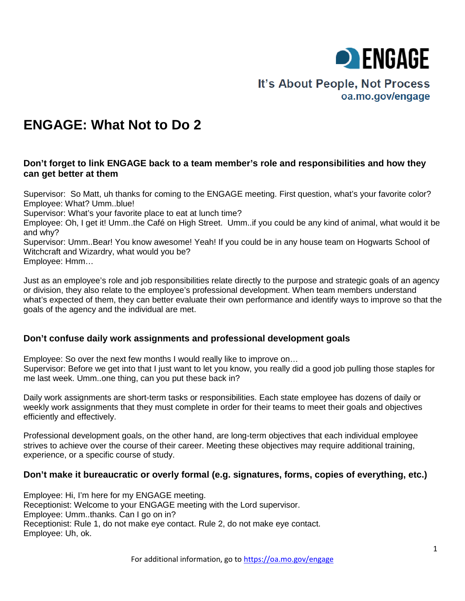

# It's About People, Not Process oa.mo.gov/engage

# **ENGAGE: What Not to Do 2**

### **Don't forget to link ENGAGE back to a team member's role and responsibilities and how they can get better at them**

Supervisor: So Matt, uh thanks for coming to the ENGAGE meeting. First question, what's your favorite color? Employee: What? Umm..blue!

Supervisor: What's your favorite place to eat at lunch time?

Employee: Oh, I get it! Umm..the Café on High Street. Umm..if you could be any kind of animal, what would it be and why?

Supervisor: Umm..Bear! You know awesome! Yeah! If you could be in any house team on Hogwarts School of Witchcraft and Wizardry, what would you be? Employee: Hmm…

Just as an employee's role and job responsibilities relate directly to the purpose and strategic goals of an agency or division, they also relate to the employee's professional development. When team members understand what's expected of them, they can better evaluate their own performance and identify ways to improve so that the goals of the agency and the individual are met.

## **Don't confuse daily work assignments and professional development goals**

Employee: So over the next few months I would really like to improve on… Supervisor: Before we get into that I just want to let you know, you really did a good job pulling those staples for me last week. Umm..one thing, can you put these back in?

Daily work assignments are short-term tasks or responsibilities. Each state employee has dozens of daily or weekly work assignments that they must complete in order for their teams to meet their goals and objectives efficiently and effectively.

Professional development goals, on the other hand, are long-term objectives that each individual employee strives to achieve over the course of their career. Meeting these objectives may require additional training, experience, or a specific course of study.

# **Don't make it bureaucratic or overly formal (e.g. signatures, forms, copies of everything, etc.)**

Employee: Hi, I'm here for my ENGAGE meeting. Receptionist: Welcome to your ENGAGE meeting with the Lord supervisor. Employee: Umm..thanks. Can I go on in? Receptionist: Rule 1, do not make eye contact. Rule 2, do not make eye contact. Employee: Uh, ok.